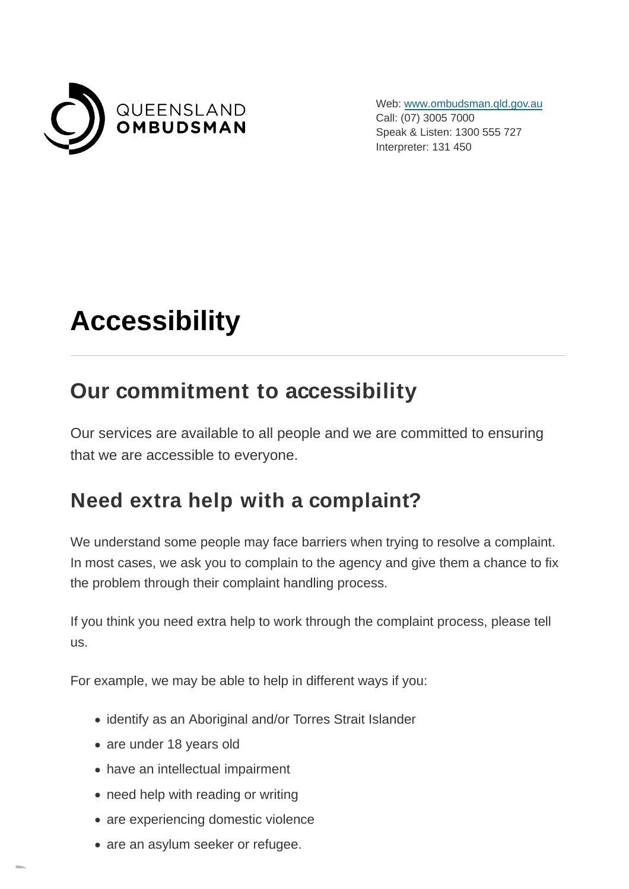

Web: [www.ombudsman.qld.gov.au](https://www.ombudsman.qld.gov.au/) Call: (07) 3005 7000 Speak & Listen: 1300 555 727 Interpreter: 131 450

# **Accessibility**

### **Our commitment to accessibility**

Our services are available to all people and we are committed to ensuring that we are accessible to everyone.

### **Need extra help with a complaint?**

We understand some people may face barriers when trying to resolve a complaint. In most cases, we ask you to complain to the agency and give them a chance to fix the problem through their complaint handling process.

If you think you need extra help to work through the complaint process, please tell us.

For example, we may be able to help in different ways if you:

- identify as an Aboriginal and/or Torres Strait Islander
- are under 18 years old
- have an intellectual impairment
- need help with reading or writing
- are experiencing domestic violence
- are an asylum seeker or refugee.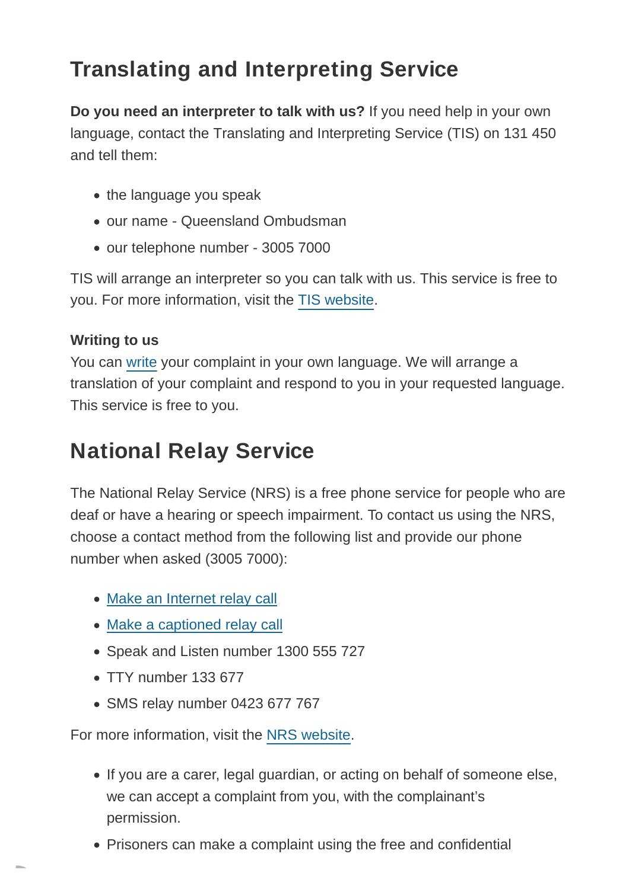## **Translating and Interpreting Service**

**Do you need an interpreter to talk with us?** If you need help in your own language, contact the Translating and Interpreting Service (TIS) on 131 450 and tell them:

- the language you speak
- our name Queensland Ombudsman
- our telephone number 3005 7000

TIS will arrange an interpreter so you can talk with us. This service is free to you. For more information, visit the [TIS website.](https://www.tisnational.gov.au/)

#### **Writing to us**

You can [write](https://www.ombudsman.qld.gov.au/about-us/contact-us) your complaint in your own language. We will arrange a translation of your complaint and respond to you in your requested language. This service is free to you.

## **National Relay Service**

The National Relay Service (NRS) is a free phone service for people who are deaf or have a hearing or speech impairment. To contact us using the NRS, choose a contact method from the following list and provide our phone number when asked (3005 7000):

- [Make an Internet relay call](https://nrscaptions.nrscall.gov.au/nrs/internetrelay)
- [Make a captioned relay call](https://nrscaptions.nrscall.gov.au/nrs/captionrelay)
- Speak and Listen number 1300 555 727
- TTY number 133 677
- SMS relay number 0423 677 767

For more information, visit the [NRS website.](https://www.communications.gov.au/what-we-do/phone/services-people-disability/accesshub/national-relay-service)

- If you are a carer, legal guardian, or acting on behalf of someone else, we can accept a complaint from you, with the complainant's permission.
- Prisoners can make a complaint using the free and confidential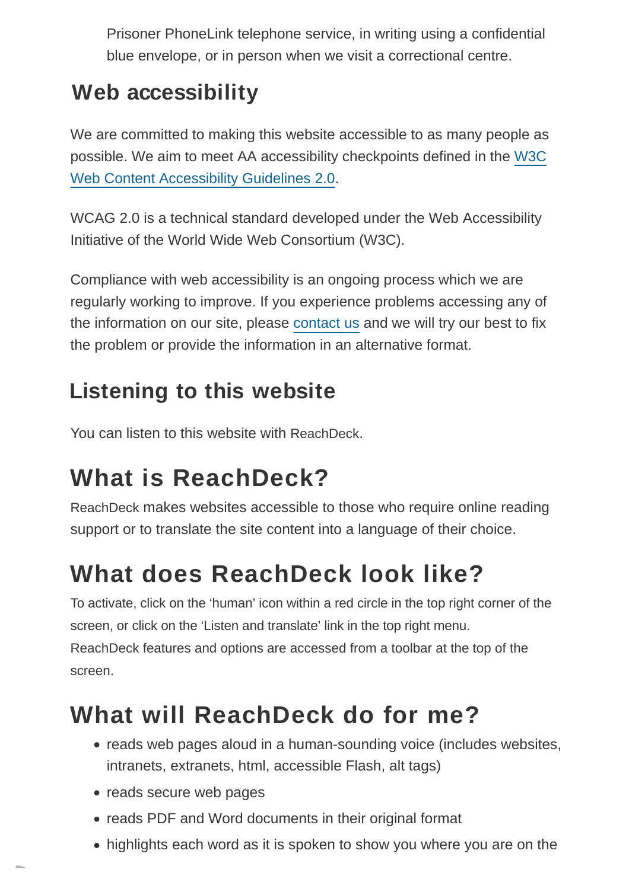Prisoner PhoneLink telephone service, in writing using a confidential blue envelope, or in person when we visit a correctional centre.

## **Web accessibility**

We are committed to making this website accessible to as many people as possible. We aim to meet AA accessibility checkpoints defined in the [W3C](http://www.w3.org/TR/WCAG20/) Web Content Accessibility Guidelines 2.0.

WCAG 2.0 is a technical standard developed under the Web Accessibility Initiative of the World Wide Web Consortium (W3C).

Compliance with web accessibility is an ongoing process which we are regularly working to improve. If you experience problems accessing any of the information on our site, please [contact us a](https://www.ombudsman.qld.gov.au/about-us/contact-us/contact-us)nd we will try our best to fix the problem or provide the information in an alternative format.

## **Listening to this website**

You can listen to this website with ReachDeck.

# **What is ReachDeck?**

ReachDeck makes websites accessible to those who require online reading support or to translate the site content into a language of their choice.

# **What does ReachDeck look like?**

To activate, click on the 'human' icon within a red circle in the top right corner of the screen, or click on the 'Listen and translate' link in the top right menu. ReachDeck features and options are accessed from a toolbar at the top of the screen.

# **What will ReachDeck do for me?**

- reads web pages aloud in a human-sounding voice (includes websites, intranets, extranets, html, accessible Flash, alt tags)
- reads secure web pages
- reads PDF and Word documents in their original format
- highlights each word as it is spoken to show you where you are on the